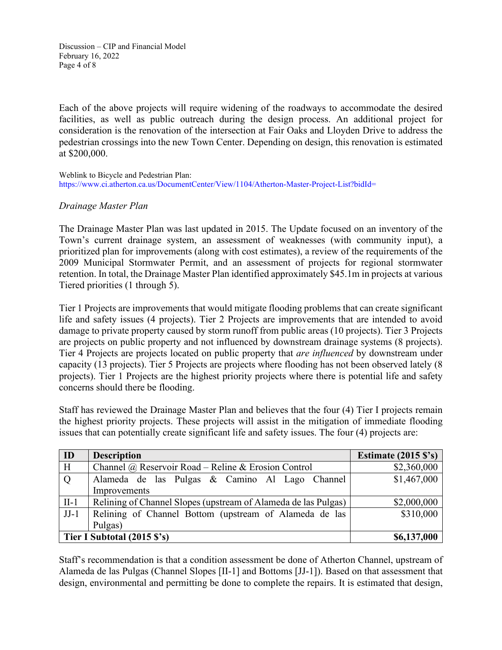Discussion – CIP and Financial Model February 16, 2022 Page 4 of 8

Each of the above projects will require widening of the roadways to accommodate the desired facilities, as well as public outreach during the design process. An additional project for consideration is the renovation of the intersection at Fair Oaks and Lloyden Drive to address the pedestrian crossings into the new Town Center. Depending on design, this renovation is estimated at \$200,000.

Weblink to Bicycle and Pedestrian Plan: <https://www.ci.atherton.ca.us/DocumentCenter/View/1104/Atherton-Master-Project-List?bidId=>

## *Drainage Master Plan*

The Drainage Master Plan was last updated in 2015. The Update focused on an inventory of the Town's current drainage system, an assessment of weaknesses (with community input), a prioritized plan for improvements (along with cost estimates), a review of the requirements of the 2009 Municipal Stormwater Permit, and an assessment of projects for regional stormwater retention. In total, the Drainage Master Plan identified approximately \$45.1m in projects at various Tiered priorities (1 through 5).

Tier 1 Projects are improvements that would mitigate flooding problems that can create significant life and safety issues (4 projects). Tier 2 Projects are improvements that are intended to avoid damage to private property caused by storm runoff from public areas (10 projects). Tier 3 Projects are projects on public property and not influenced by downstream drainage systems (8 projects). Tier 4 Projects are projects located on public property that *are influenced* by downstream under capacity (13 projects). Tier 5 Projects are projects where flooding has not been observed lately (8 projects). Tier 1 Projects are the highest priority projects where there is potential life and safety concerns should there be flooding.

Staff has reviewed the Drainage Master Plan and believes that the four (4) Tier I projects remain the highest priority projects. These projects will assist in the mitigation of immediate flooding issues that can potentially create significant life and safety issues. The four (4) projects are:

| ID                          | <b>Description</b>                                             | Estimate $(2015 \text{ S's})$ |
|-----------------------------|----------------------------------------------------------------|-------------------------------|
| H                           | Channel @ Reservoir Road – Reline & Erosion Control            | \$2,360,000                   |
| Q                           | Alameda de las Pulgas & Camino Al Lago Channel                 | \$1,467,000                   |
|                             | Improvements                                                   |                               |
| $II-1$                      | Relining of Channel Slopes (upstream of Alameda de las Pulgas) | \$2,000,000                   |
| $JJ-1$                      | Relining of Channel Bottom (upstream of Alameda de las         | \$310,000                     |
|                             | Pulgas)                                                        |                               |
| Tier I Subtotal (2015 \$'s) |                                                                | \$6,137,000                   |

Staff's recommendation is that a condition assessment be done of Atherton Channel, upstream of Alameda de las Pulgas (Channel Slopes [II-1] and Bottoms [JJ-1]). Based on that assessment that design, environmental and permitting be done to complete the repairs. It is estimated that design,